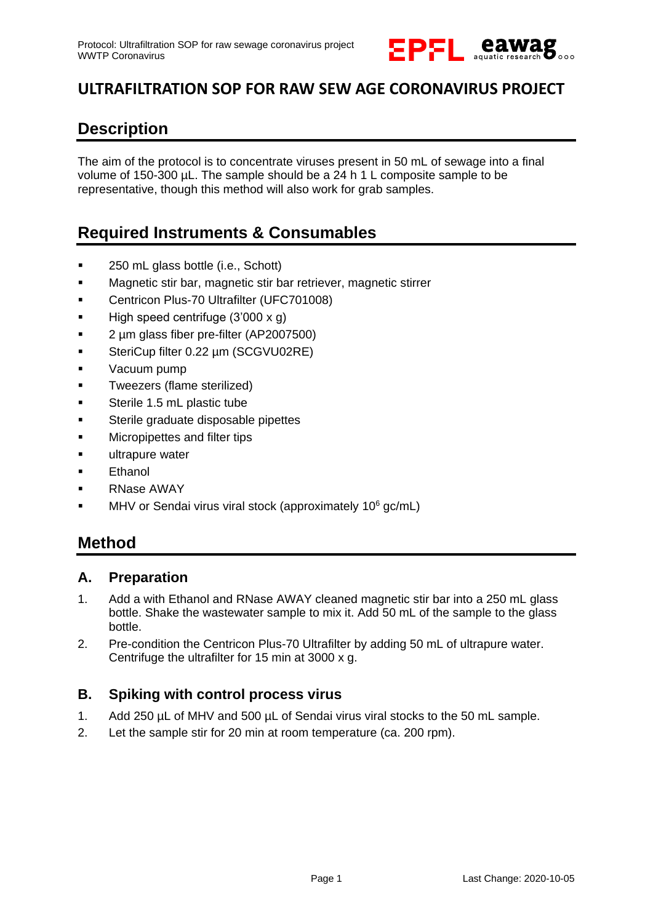

## **ULTRAFILTRATION SOP FOR RAW SEW AGE CORONAVIRUS PROJECT**

### **Description**

The aim of the protocol is to concentrate viruses present in 50 mL of sewage into a final volume of 150-300 µL. The sample should be a 24 h 1 L composite sample to be representative, though this method will also work for grab samples.

### **Required Instruments & Consumables**

- 250 mL glass bottle (i.e., Schott)
- Magnetic stir bar, magnetic stir bar retriever, magnetic stirrer
- **•** Centricon Plus-70 Ultrafilter (UFC701008)
- $\blacksquare$  High speed centrifuge (3'000 x g)
- 2 µm glass fiber pre-filter (AP2007500)
- SteriCup filter 0.22 um (SCGVU02RE)
- **v** Vacuum pump
- Tweezers (flame sterilized)
- **Sterile 1.5 mL plastic tube**
- Sterile graduate disposable pipettes
- Micropipettes and filter tips
- **ultrapure water**
- Ethanol
- **RNase AWAY**
- MHV or Sendai virus viral stock (approximately 10<sup>6</sup> gc/mL)

### **Method**

#### **A. Preparation**

- 1. Add a with Ethanol and RNase AWAY cleaned magnetic stir bar into a 250 mL glass bottle. Shake the wastewater sample to mix it. Add 50 mL of the sample to the glass bottle.
- 2. Pre-condition the Centricon Plus-70 Ultrafilter by adding 50 mL of ultrapure water. Centrifuge the ultrafilter for 15 min at 3000 x g.

#### **B. Spiking with control process virus**

- 1. Add 250 µL of MHV and 500 µL of Sendai virus viral stocks to the 50 mL sample.
- 2. Let the sample stir for 20 min at room temperature (ca. 200 rpm).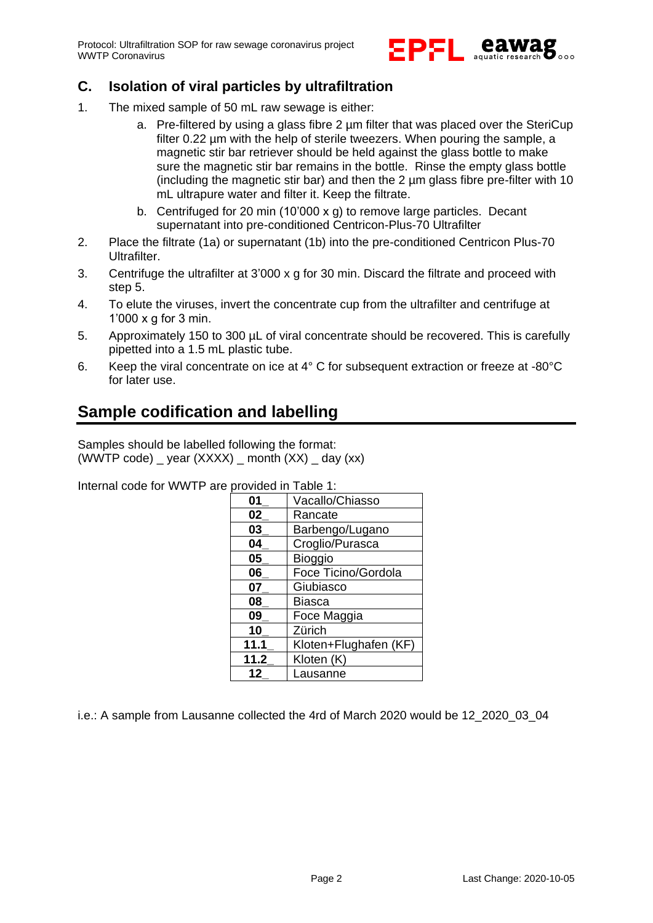Protocol: Ultrafiltration SOP for raw sewage coronavirus project WWTP Coronavirus



### **C. Isolation of viral particles by ultrafiltration**

- 1. The mixed sample of 50 mL raw sewage is either:
	- a. Pre-filtered by using a glass fibre 2 um filter that was placed over the SteriCup filter 0.22 µm with the help of sterile tweezers. When pouring the sample, a magnetic stir bar retriever should be held against the glass bottle to make sure the magnetic stir bar remains in the bottle. Rinse the empty glass bottle (including the magnetic stir bar) and then the  $2 \mu m$  glass fibre pre-filter with 10 mL ultrapure water and filter it. Keep the filtrate.
	- b. Centrifuged for 20 min (10'000 x g) to remove large particles. Decant supernatant into pre-conditioned Centricon-Plus-70 Ultrafilter
- 2. Place the filtrate (1a) or supernatant (1b) into the pre-conditioned Centricon Plus-70 Ultrafilter.
- 3. Centrifuge the ultrafilter at 3'000 x g for 30 min. Discard the filtrate and proceed with step 5.
- 4. To elute the viruses, invert the concentrate cup from the ultrafilter and centrifuge at 1'000 x g for 3 min.
- 5. Approximately 150 to 300 µL of viral concentrate should be recovered. This is carefully pipetted into a 1.5 mL plastic tube.
- 6. Keep the viral concentrate on ice at 4° C for subsequent extraction or freeze at -80°C for later use.

### **Sample codification and labelling**

Samples should be labelled following the format: (WWTP code)  $\equiv$  year (XXXX)  $\equiv$  month (XX)  $\equiv$  day (xx)

Internal code for WWTP are provided in Table 1:

| 01   | Vacallo/Chiasso       |  |  |
|------|-----------------------|--|--|
| 02   | Rancate               |  |  |
| 03   | Barbengo/Lugano       |  |  |
| 04   | Croglio/Purasca       |  |  |
| 05   | <b>Bioggio</b>        |  |  |
| 06   | Foce Ticino/Gordola   |  |  |
| 07   | Giubiasco             |  |  |
| 08   | Biasca                |  |  |
| 09   | Foce Maggia           |  |  |
| 10   | Zürich                |  |  |
| 11.1 | Kloten+Flughafen (KF) |  |  |
| 11.2 | Kloten (K)            |  |  |
| 12   | Lausanne              |  |  |

i.e.: A sample from Lausanne collected the 4rd of March 2020 would be 12\_2020\_03\_04